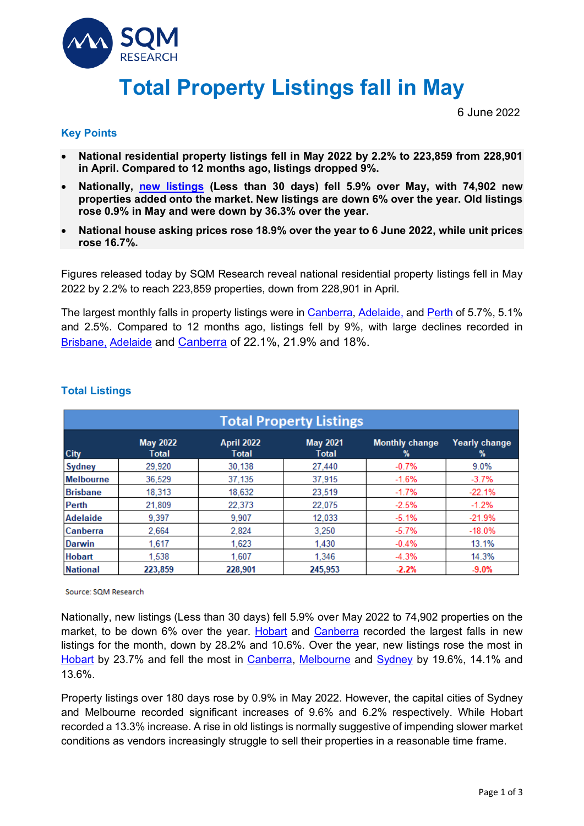

# **Total Property Listings fall in May**

6 June 2022

### **Key Points**

- **National residential property listings fell in May 2022 by 2.2% to 223,859 from 228,901 in April. Compared to 12 months ago, listings dropped 9%.**
- **Nationally, [new listings](https://sqmresearch.com.au/total-property-listings.php?national=1&t=1) (Less than 30 days) fell 5.9% over May, with 74,902 new properties added onto the market. New listings are down 6% over the year. Old listings rose 0.9% in May and were down by 36.3% over the year.**
- **National house asking prices rose 18.9% over the year to 6 June 2022, while unit prices rose 16.7%.**

Figures released today by SQM Research reveal national residential property listings fell in May 2022 by 2.2% to reach 223,859 properties, down from 228,901 in April.

The largest monthly falls in property listings were in [Canberra,](https://sqmresearch.com.au/total-property-listings.php?region=act%3A%3ACanberra&type=c&t=1) [Adelaide,](https://sqmresearch.com.au/total-property-listings.php?region=sa%3A%3AAdelaide&type=c&t=1) and [Perth](https://sqmresearch.com.au/total-property-listings.php?region=wa%3A%3APerth&type=c&t=1) of 5.7%, 5.1% and 2.5%. Compared to 12 months ago, listings fell by 9%, with large declines recorded in [Brisbane,](https://sqmresearch.com.au/total-property-listings.php?region=qld%3A%3ABrisbane&type=c&t=1) [Adelaide](https://sqmresearch.com.au/total-property-listings.php?region=sa%3A%3AAdelaide&type=c&t=1) and [Canberra](https://sqmresearch.com.au/total-property-listings.php?region=act%3A%3ACanberra&type=c&t=1) of 22.1%, 21.9% and 18%.

| <b>Total Property Listings</b> |                          |                                   |                                 |                               |                              |  |
|--------------------------------|--------------------------|-----------------------------------|---------------------------------|-------------------------------|------------------------------|--|
| <b>City</b>                    | <b>May 2022</b><br>Total | <b>April 2022</b><br><b>Total</b> | <b>May 2021</b><br><b>Total</b> | <b>Monthly change</b><br>$\%$ | <b>Yearly change</b><br>$\%$ |  |
| <b>Sydney</b>                  | 29,920                   | 30.138                            | 27,440                          | $-0.7%$                       | 9.0%                         |  |
| <b>Melbourne</b>               | 36.529                   | 37.135                            | 37,915                          | $-1.6%$                       | $-3.7%$                      |  |
| <b>Brisbane</b>                | 18,313                   | 18,632                            | 23.519                          | $-1.7%$                       | $-22.1%$                     |  |
| Perth                          | 21.809                   | 22,373                            | 22,075                          | $-2.5%$                       | $-1.2%$                      |  |
| <b>Adelaide</b>                | 9.397                    | 9.907                             | 12.033                          | $-5.1%$                       | $-21.9%$                     |  |
| Canberra                       | 2.664                    | 2.824                             | 3.250                           | $-5.7%$                       | $-18.0%$                     |  |
| <b>Darwin</b>                  | 1,617                    | 1,623                             | 1.430                           | $-0.4%$                       | 13.1%                        |  |
| <b>Hobart</b>                  | 1.538                    | 1.607                             | 1.346                           | $-4.3%$                       | 14.3%                        |  |
| <b>National</b>                | 223,859                  | 228,901                           | 245,953                         | $-2.2%$                       | $-9.0%$                      |  |

## **Total Listings**

Source: SQM Research

Nationally, [new listings](https://sqmresearch.com.au/total-property-listings.php?national=1&t=1) (Less than 30 days) fell 5.9% over May 2022 to 74,902 properties on the market, to be down 6% over the year. [Hobart](https://sqmresearch.com.au/total-property-listings.php?region=tas%3A%3AHobart&type=c&t=1) and [Canberra](https://sqmresearch.com.au/total-property-listings.php?region=act%3A%3ACanberra&type=c&t=1) recorded the largest falls in new listings for the month, down by 28.2% and 10.6%. Over the year, new listings rose the most in [Hobart](https://sqmresearch.com.au/total-property-listings.php?region=tas%3A%3AHobart&type=c&t=1) by 23.7% and fell the most in [Canberra,](https://sqmresearch.com.au/total-property-listings.php?region=act%3A%3ACanberra&type=c&t=1) [Melbourne](https://sqmresearch.com.au/total-property-listings.php?region=vic%3A%3AMelbourne&type=c&t=1) and [Sydney](https://sqmresearch.com.au/total-property-listings.php?region=nsw%3A%3ASydney&type=c&t=1) by 19.6%, 14.1% and 13.6%.

Property listings over 180 days rose by 0.9% in May 2022. However, the capital cities of Sydney and Melbourne recorded significant increases of 9.6% and 6.2% respectively. While Hobart recorded a 13.3% increase. A rise in old listings is normally suggestive of impending slower market conditions as vendors increasingly struggle to sell their properties in a reasonable time frame.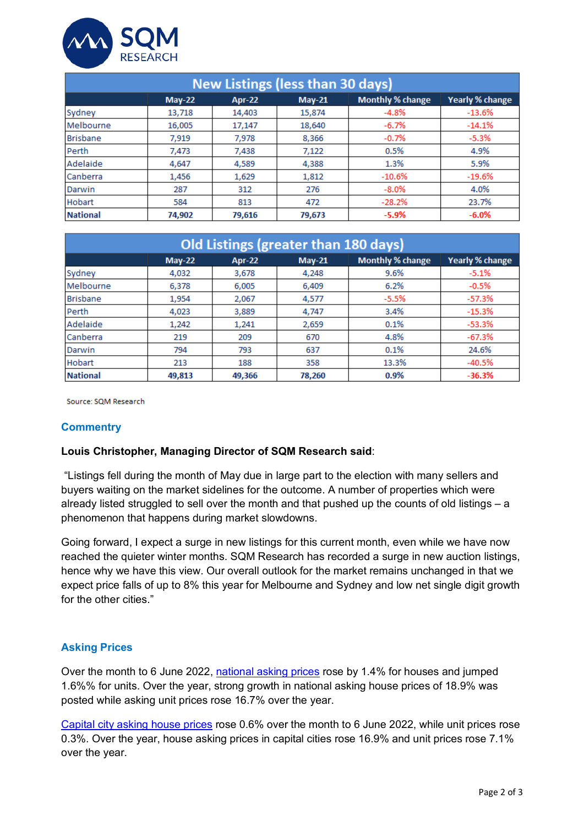

| <b>New Listings (less than 30 days)</b> |          |               |          |                  |                        |  |
|-----------------------------------------|----------|---------------|----------|------------------|------------------------|--|
|                                         | $May-22$ | <b>Apr-22</b> | $May-21$ | Monthly % change | <b>Yearly % change</b> |  |
| Sydney                                  | 13,718   | 14,403        | 15,874   | $-4.8%$          | $-13.6%$               |  |
| Melbourne                               | 16,005   | 17,147        | 18,640   | $-6.7%$          | $-14.1%$               |  |
| <b>Brisbane</b>                         | 7,919    | 7,978         | 8,366    | $-0.7%$          | $-5.3%$                |  |
| Perth                                   | 7,473    | 7,438         | 7,122    | 0.5%             | 4.9%                   |  |
| Adelaide                                | 4,647    | 4,589         | 4,388    | 1.3%             | 5.9%                   |  |
| Canberra                                | 1,456    | 1,629         | 1,812    | $-10.6%$         | $-19.6%$               |  |
| Darwin                                  | 287      | 312           | 276      | $-8.0\%$         | 4.0%                   |  |
| Hobart                                  | 584      | 813           | 472      | $-28.2%$         | 23.7%                  |  |
| <b>National</b>                         | 74,902   | 79,616        | 79,673   | $-5.9%$          | $-6.0%$                |  |

| Old Listings (greater than 180 days) |          |               |          |                         |                 |  |
|--------------------------------------|----------|---------------|----------|-------------------------|-----------------|--|
|                                      | $May-22$ | <b>Apr-22</b> | $May-21$ | <b>Monthly % change</b> | Yearly % change |  |
| Sydney                               | 4,032    | 3,678         | 4,248    | 9.6%                    | $-5.1%$         |  |
| Melbourne                            | 6,378    | 6,005         | 6,409    | 6.2%                    | $-0.5%$         |  |
| Brisbane                             | 1,954    | 2,067         | 4,577    | $-5.5%$                 | $-57.3%$        |  |
| Perth                                | 4,023    | 3,889         | 4,747    | 3.4%                    | $-15.3%$        |  |
| Adelaide                             | 1,242    | 1,241         | 2,659    | 0.1%                    | $-53.3%$        |  |
| Canberra                             | 219      | 209           | 670      | 4.8%                    | $-67.3%$        |  |
| Darwin                               | 794      | 793           | 637      | 0.1%                    | 24.6%           |  |
| Hobart                               | 213      | 188           | 358      | 13.3%                   | $-40.5%$        |  |
| <b>National</b>                      | 49,813   | 49,366        | 78,260   | 0.9%                    | $-36.3%$        |  |

Source: SQM Research

#### **Commentry**

#### **Louis Christopher, Managing Director of SQM Research said**:

"Listings fell during the month of May due in large part to the election with many sellers and buyers waiting on the market sidelines for the outcome. A number of properties which were already listed struggled to sell over the month and that pushed up the counts of old listings – a phenomenon that happens during market slowdowns.

Going forward, I expect a surge in new listings for this current month, even while we have now reached the quieter winter months. SQM Research has recorded a surge in new auction listings, hence why we have this view. Our overall outlook for the market remains unchanged in that we expect price falls of up to 8% this year for Melbourne and Sydney and low net single digit growth for the other cities."

#### **Asking Prices**

Over the month to 6 June 2022, [national asking prices](https://sqmresearch.com.au/asking-property-prices.php?national=1&t=1) rose by 1.4% for houses and jumped 1.6%% for units. Over the year, strong growth in national asking house prices of 18.9% was posted while asking unit prices rose 16.7% over the year.

[Capital city asking house prices](https://sqmresearch.com.au/asking-property-prices.php?avg=1&t=1) rose 0.6% over the month to 6 June 2022, while unit prices rose 0.3%. Over the year, house asking prices in capital cities rose 16.9% and unit prices rose 7.1% over the year.